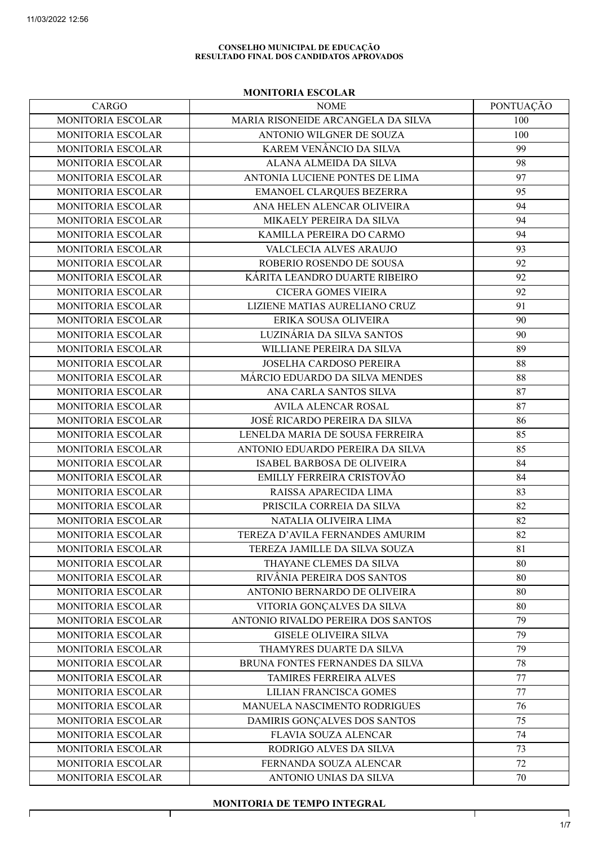$\Gamma$ 

#### CONSELHO MUNICIPAL DE EDUCAÇÃO RESULTADO FINAL DOS CANDIDATOS APROVADOS

### MONITORIA ESCOLAR

| CARGO                    | <b>NOME</b>                        | PONTUAÇÃO |
|--------------------------|------------------------------------|-----------|
| MONITORIA ESCOLAR        | MARIA RISONEIDE ARCANGELA DA SILVA | 100       |
| MONITORIA ESCOLAR        | ANTONIO WILGNER DE SOUZA           | 100       |
| MONITORIA ESCOLAR        | KAREM VENÂNCIO DA SILVA            | 99        |
| MONITORIA ESCOLAR        | ALANA ALMEIDA DA SILVA             | 98        |
| MONITORIA ESCOLAR        | ANTONIA LUCIENE PONTES DE LIMA     | 97        |
| MONITORIA ESCOLAR        | EMANOEL CLARQUES BEZERRA           | 95        |
| MONITORIA ESCOLAR        | ANA HELEN ALENCAR OLIVEIRA         | 94        |
| MONITORIA ESCOLAR        | MIKAELY PEREIRA DA SILVA           | 94        |
| MONITORIA ESCOLAR        | KAMILLA PEREIRA DO CARMO           | 94        |
| MONITORIA ESCOLAR        | VALCLECIA ALVES ARAUJO             | 93        |
| MONITORIA ESCOLAR        | ROBERIO ROSENDO DE SOUSA           | 92        |
| MONITORIA ESCOLAR        | KÁRITA LEANDRO DUARTE RIBEIRO      | 92        |
| MONITORIA ESCOLAR        | <b>CICERA GOMES VIEIRA</b>         | 92        |
| MONITORIA ESCOLAR        | LIZIENE MATIAS AURELIANO CRUZ      | 91        |
| <b>MONITORIA ESCOLAR</b> | ERIKA SOUSA OLIVEIRA               | 90        |
| MONITORIA ESCOLAR        | LUZINÁRIA DA SILVA SANTOS          | 90        |
| MONITORIA ESCOLAR        | WILLIANE PEREIRA DA SILVA          | 89        |
| MONITORIA ESCOLAR        | JOSELHA CARDOSO PEREIRA            | 88        |
| MONITORIA ESCOLAR        | MÁRCIO EDUARDO DA SILVA MENDES     | 88        |
| MONITORIA ESCOLAR        | ANA CARLA SANTOS SILVA             | 87        |
| MONITORIA ESCOLAR        | <b>AVILA ALENCAR ROSAL</b>         | 87        |
| MONITORIA ESCOLAR        | JOSÉ RICARDO PEREIRA DA SILVA      | 86        |
| MONITORIA ESCOLAR        | LENELDA MARIA DE SOUSA FERREIRA    | 85        |
| MONITORIA ESCOLAR        | ANTONIO EDUARDO PEREIRA DA SILVA   | 85        |
| MONITORIA ESCOLAR        | ISABEL BARBOSA DE OLIVEIRA         | 84        |
| MONITORIA ESCOLAR        | EMILLY FERREIRA CRISTOVÃO          | 84        |
| MONITORIA ESCOLAR        | RAISSA APARECIDA LIMA              | 83        |
| MONITORIA ESCOLAR        | PRISCILA CORREIA DA SILVA          | 82        |
| MONITORIA ESCOLAR        | NATALIA OLIVEIRA LIMA              | 82        |
| MONITORIA ESCOLAR        | TEREZA D'AVILA FERNANDES AMURIM    | 82        |
| MONITORIA ESCOLAR        | TEREZA JAMILLE DA SILVA SOUZA      | 81        |
| <b>MONITORIA ESCOLAR</b> | THAYANE CLEMES DA SILVA            | 80        |
| MONITORIA ESCOLAR        | RIVÂNIA PEREIRA DOS SANTOS         | 80        |
| MONITORIA ESCOLAR        | ANTONIO BERNARDO DE OLIVEIRA       | 80        |
| MONITORIA ESCOLAR        | VITORIA GONÇALVES DA SILVA         | 80        |
| MONITORIA ESCOLAR        | ANTONIO RIVALDO PEREIRA DOS SANTOS | 79        |
| MONITORIA ESCOLAR        | <b>GISELE OLIVEIRA SILVA</b>       | 79        |
| MONITORIA ESCOLAR        | THAMYRES DUARTE DA SILVA           | 79        |
| MONITORIA ESCOLAR        | BRUNA FONTES FERNANDES DA SILVA    | 78        |
| MONITORIA ESCOLAR        | <b>TAMIRES FERREIRA ALVES</b>      | 77        |
| MONITORIA ESCOLAR        | <b>LILIAN FRANCISCA GOMES</b>      | 77        |
| MONITORIA ESCOLAR        | MANUELA NASCIMENTO RODRIGUES       | 76        |
| MONITORIA ESCOLAR        | DAMIRIS GONÇALVES DOS SANTOS       | 75        |
| MONITORIA ESCOLAR        | FLAVIA SOUZA ALENCAR               | 74        |
| MONITORIA ESCOLAR        | RODRIGO ALVES DA SILVA             | 73        |
| MONITORIA ESCOLAR        | FERNANDA SOUZA ALENCAR             | 72        |
| MONITORIA ESCOLAR        | ANTONIO UNIAS DA SILVA             | 70        |

## MONITORIA DE TEMPO INTEGRAL

 $\top$ 

T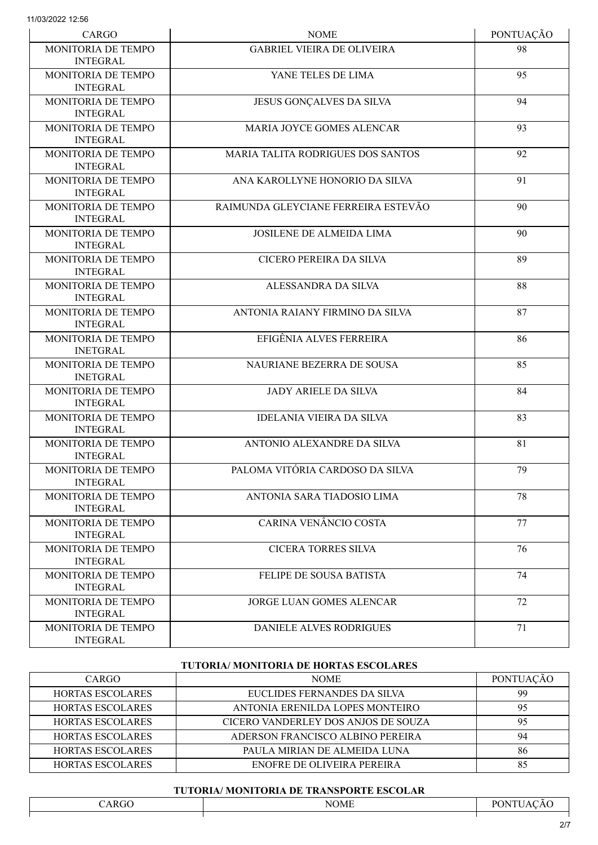| CARGO                                        | <b>NOME</b>                              | PONTUAÇÃO |
|----------------------------------------------|------------------------------------------|-----------|
| MONITORIA DE TEMPO<br><b>INTEGRAL</b>        | <b>GABRIEL VIEIRA DE OLIVEIRA</b>        | 98        |
| <b>MONITORIA DE TEMPO</b><br><b>INTEGRAL</b> | YANE TELES DE LIMA                       | 95        |
| MONITORIA DE TEMPO<br><b>INTEGRAL</b>        | JESUS GONÇALVES DA SILVA                 | 94        |
| MONITORIA DE TEMPO<br><b>INTEGRAL</b>        | <b>MARIA JOYCE GOMES ALENCAR</b>         | 93        |
| MONITORIA DE TEMPO<br><b>INTEGRAL</b>        | <b>MARIA TALITA RODRIGUES DOS SANTOS</b> | 92        |
| MONITORIA DE TEMPO<br><b>INTEGRAL</b>        | ANA KAROLLYNE HONORIO DA SILVA           | 91        |
| MONITORIA DE TEMPO<br><b>INTEGRAL</b>        | RAIMUNDA GLEYCIANE FERREIRA ESTEVÃO      | 90        |
| MONITORIA DE TEMPO<br><b>INTEGRAL</b>        | <b>JOSILENE DE ALMEIDA LIMA</b>          | 90        |
| MONITORIA DE TEMPO<br><b>INTEGRAL</b>        | CICERO PEREIRA DA SILVA                  | 89        |
| MONITORIA DE TEMPO<br><b>INTEGRAL</b>        | ALESSANDRA DA SILVA                      | 88        |
| MONITORIA DE TEMPO<br><b>INTEGRAL</b>        | ANTONIA RAIANY FIRMINO DA SILVA          | 87        |
| MONITORIA DE TEMPO<br><b>INETGRAL</b>        | EFIGÊNIA ALVES FERREIRA                  | 86        |
| MONITORIA DE TEMPO<br><b>INETGRAL</b>        | NAURIANE BEZERRA DE SOUSA                | 85        |
| MONITORIA DE TEMPO<br><b>INTEGRAL</b>        | <b>JADY ARIELE DA SILVA</b>              | 84        |
| MONITORIA DE TEMPO<br><b>INTEGRAL</b>        | <b>IDELANIA VIEIRA DA SILVA</b>          | 83        |
| MONITORIA DE TEMPO<br><b>INTEGRAL</b>        | ANTONIO ALEXANDRE DA SILVA               | 81        |
| MONITORIA DE TEMPO<br><b>INTEGRAL</b>        | PALOMA VITÓRIA CARDOSO DA SILVA          | 79        |
| MONITORIA DE TEMPO<br><b>INTEGRAL</b>        | ANTONIA SARA TIADOSIO LIMA               | 78        |
| MONITORIA DE TEMPO<br><b>INTEGRAL</b>        | CARINA VENÂNCIO COSTA                    | 77        |
| MONITORIA DE TEMPO<br><b>INTEGRAL</b>        | <b>CICERA TORRES SILVA</b>               | 76        |
| MONITORIA DE TEMPO<br><b>INTEGRAL</b>        | FELIPE DE SOUSA BATISTA                  | 74        |
| MONITORIA DE TEMPO<br><b>INTEGRAL</b>        | <b>JORGE LUAN GOMES ALENCAR</b>          | 72        |
| MONITORIA DE TEMPO<br><b>INTEGRAL</b>        | <b>DANIELE ALVES RODRIGUES</b>           | 71        |

## TUTORIA/ MONITORIA DE HORTAS ESCOLARES

| CARGO                   | <b>NOME</b>                         | <b>PONTUACAO</b> |
|-------------------------|-------------------------------------|------------------|
| <b>HORTAS ESCOLARES</b> | EUCLIDES FERNANDES DA SILVA         | 99               |
| <b>HORTAS ESCOLARES</b> | ANTONIA ERENILDA LOPES MONTEIRO     | 95               |
| <b>HORTAS ESCOLARES</b> | CICERO VANDERLEY DOS ANJOS DE SOUZA | 95               |
| <b>HORTAS ESCOLARES</b> | ADERSON FRANCISCO ALBINO PEREIRA    | 94               |
| <b>HORTAS ESCOLARES</b> | PAULA MIRIAN DE ALMEIDA LUNA        | 86               |
| <b>HORTAS ESCOLARES</b> | ENOFRE DE OLIVEIRA PEREIRA          | 85               |

## TUTORIA/ MONITORIA DE TRANSPORTE ESCOLAR

| <b>ARGO</b> | <b>NOME</b> | $D\cap$<br>$\tilde{\phantom{a}}$<br>ΙN<br>$\mathbf{a}$<br>'At<br>AU. |
|-------------|-------------|----------------------------------------------------------------------|
|             |             |                                                                      |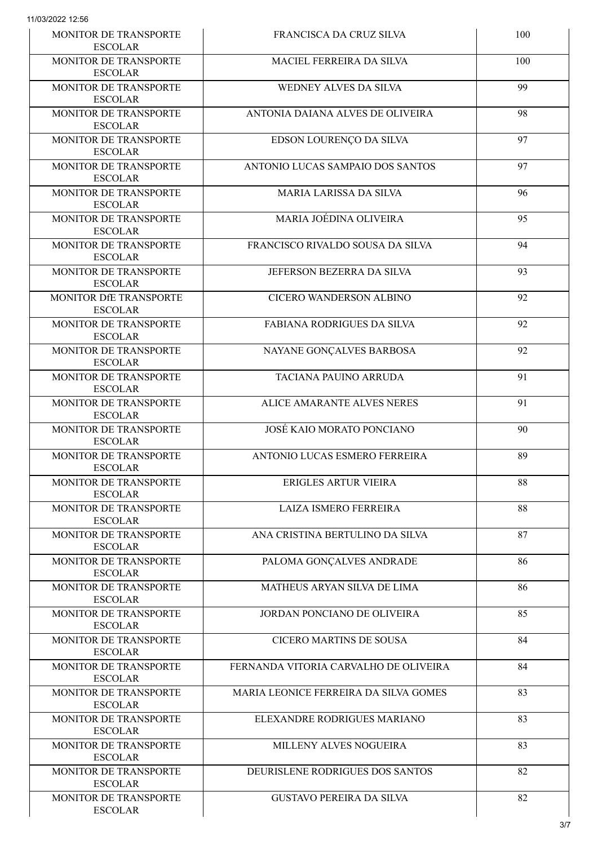| MONITOR DE TRANSPORTE<br><b>ESCOLAR</b>        | FRANCISCA DA CRUZ SILVA               | 100 |
|------------------------------------------------|---------------------------------------|-----|
| MONITOR DE TRANSPORTE<br><b>ESCOLAR</b>        | MACIEL FERREIRA DA SILVA              | 100 |
| MONITOR DE TRANSPORTE<br><b>ESCOLAR</b>        | WEDNEY ALVES DA SILVA                 | 99  |
| MONITOR DE TRANSPORTE<br><b>ESCOLAR</b>        | ANTONIA DAIANA ALVES DE OLIVEIRA      | 98  |
| MONITOR DE TRANSPORTE<br><b>ESCOLAR</b>        | EDSON LOURENÇO DA SILVA               | 97  |
| MONITOR DE TRANSPORTE<br><b>ESCOLAR</b>        | ANTONIO LUCAS SAMPAIO DOS SANTOS      | 97  |
| MONITOR DE TRANSPORTE<br><b>ESCOLAR</b>        | <b>MARIA LARISSA DA SILVA</b>         | 96  |
| MONITOR DE TRANSPORTE<br><b>ESCOLAR</b>        | MARIA JOÉDINA OLIVEIRA                | 95  |
| MONITOR DE TRANSPORTE<br><b>ESCOLAR</b>        | FRANCISCO RIVALDO SOUSA DA SILVA      | 94  |
| MONITOR DE TRANSPORTE<br><b>ESCOLAR</b>        | JEFERSON BEZERRA DA SILVA             | 93  |
| MONITOR DfE TRANSPORTE<br><b>ESCOLAR</b>       | CICERO WANDERSON ALBINO               | 92  |
| MONITOR DE TRANSPORTE<br><b>ESCOLAR</b>        | <b>FABIANA RODRIGUES DA SILVA</b>     | 92  |
| MONITOR DE TRANSPORTE<br><b>ESCOLAR</b>        | NAYANE GONÇALVES BARBOSA              | 92  |
| MONITOR DE TRANSPORTE<br><b>ESCOLAR</b>        | <b>TACIANA PAUINO ARRUDA</b>          | 91  |
| MONITOR DE TRANSPORTE<br><b>ESCOLAR</b>        | <b>ALICE AMARANTE ALVES NERES</b>     | 91  |
| MONITOR DE TRANSPORTE<br><b>ESCOLAR</b>        | JOSÉ KAIO MORATO PONCIANO             | 90  |
| MONITOR DE TRANSPORTE<br><b>ESCOLAR</b>        | ANTONIO LUCAS ESMERO FERREIRA         | 89  |
| MONITOR DE TRANSPORTE<br><b>ESCOLAR</b>        | ERIGLES ARTUR VIEIRA                  | 88  |
| MONITOR DE TRANSPORTE<br><b>ESCOLAR</b>        | <b>LAIZA ISMERO FERREIRA</b>          | 88  |
| <b>MONITOR DE TRANSPORTE</b><br><b>ESCOLAR</b> | ANA CRISTINA BERTULINO DA SILVA       | 87  |
| MONITOR DE TRANSPORTE<br><b>ESCOLAR</b>        | PALOMA GONÇALVES ANDRADE              | 86  |
| MONITOR DE TRANSPORTE<br><b>ESCOLAR</b>        | MATHEUS ARYAN SILVA DE LIMA           | 86  |
| MONITOR DE TRANSPORTE<br><b>ESCOLAR</b>        | JORDAN PONCIANO DE OLIVEIRA           | 85  |
| <b>MONITOR DE TRANSPORTE</b><br><b>ESCOLAR</b> | <b>CICERO MARTINS DE SOUSA</b>        | 84  |
| MONITOR DE TRANSPORTE<br><b>ESCOLAR</b>        | FERNANDA VITORIA CARVALHO DE OLIVEIRA | 84  |
| <b>MONITOR DE TRANSPORTE</b><br><b>ESCOLAR</b> | MARIA LEONICE FERREIRA DA SILVA GOMES | 83  |
| MONITOR DE TRANSPORTE<br><b>ESCOLAR</b>        | ELEXANDRE RODRIGUES MARIANO           | 83  |
| MONITOR DE TRANSPORTE<br><b>ESCOLAR</b>        | MILLENY ALVES NOGUEIRA                | 83  |
| MONITOR DE TRANSPORTE<br><b>ESCOLAR</b>        | DEURISLENE RODRIGUES DOS SANTOS       | 82  |
| MONITOR DE TRANSPORTE<br><b>ESCOLAR</b>        | <b>GUSTAVO PEREIRA DA SILVA</b>       | 82  |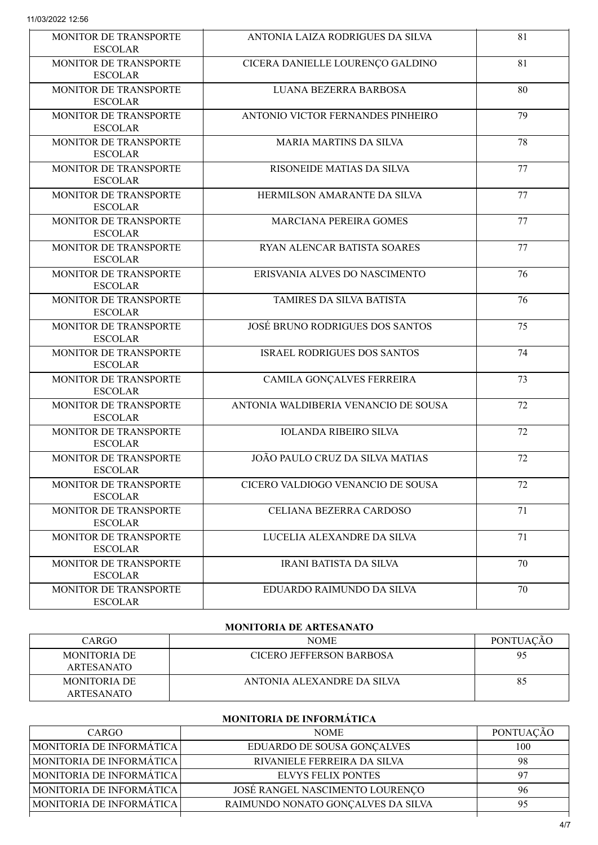| <b>MONITOR DE TRANSPORTE</b><br><b>ESCOLAR</b> | ANTONIA LAIZA RODRIGUES DA SILVA       | 81 |
|------------------------------------------------|----------------------------------------|----|
| MONITOR DE TRANSPORTE<br><b>ESCOLAR</b>        | CICERA DANIELLE LOURENÇO GALDINO       | 81 |
| MONITOR DE TRANSPORTE<br><b>ESCOLAR</b>        | LUANA BEZERRA BARBOSA                  | 80 |
| MONITOR DE TRANSPORTE<br><b>ESCOLAR</b>        | ANTONIO VICTOR FERNANDES PINHEIRO      | 79 |
| <b>MONITOR DE TRANSPORTE</b><br><b>ESCOLAR</b> | <b>MARIA MARTINS DA SILVA</b>          | 78 |
| MONITOR DE TRANSPORTE<br><b>ESCOLAR</b>        | RISONEIDE MATIAS DA SILVA              | 77 |
| MONITOR DE TRANSPORTE<br><b>ESCOLAR</b>        | HERMILSON AMARANTE DA SILVA            | 77 |
| MONITOR DE TRANSPORTE<br><b>ESCOLAR</b>        | MARCIANA PEREIRA GOMES                 | 77 |
| MONITOR DE TRANSPORTE<br><b>ESCOLAR</b>        | RYAN ALENCAR BATISTA SOARES            | 77 |
| <b>MONITOR DE TRANSPORTE</b><br><b>ESCOLAR</b> | ERISVANIA ALVES DO NASCIMENTO          | 76 |
| <b>MONITOR DE TRANSPORTE</b><br><b>ESCOLAR</b> | TAMIRES DA SILVA BATISTA               | 76 |
| MONITOR DE TRANSPORTE<br><b>ESCOLAR</b>        | <b>JOSÉ BRUNO RODRIGUES DOS SANTOS</b> | 75 |
| MONITOR DE TRANSPORTE<br><b>ESCOLAR</b>        | <b>ISRAEL RODRIGUES DOS SANTOS</b>     | 74 |
| MONITOR DE TRANSPORTE<br><b>ESCOLAR</b>        | CAMILA GONÇALVES FERREIRA              | 73 |
| MONITOR DE TRANSPORTE<br><b>ESCOLAR</b>        | ANTONIA WALDIBERIA VENANCIO DE SOUSA   | 72 |
| MONITOR DE TRANSPORTE<br><b>ESCOLAR</b>        | <b>IOLANDA RIBEIRO SILVA</b>           | 72 |
| MONITOR DE TRANSPORTE<br><b>ESCOLAR</b>        | JOÃO PAULO CRUZ DA SILVA MATIAS        | 72 |
| MONITOR DE TRANSPORTE<br><b>ESCOLAR</b>        | CICERO VALDIOGO VENANCIO DE SOUSA      | 72 |
| MONITOR DE TRANSPORTE<br><b>ESCOLAR</b>        | CELIANA BEZERRA CARDOSO                | 71 |
| <b>MONITOR DE TRANSPORTE</b><br><b>ESCOLAR</b> | LUCELIA ALEXANDRE DA SILVA             | 71 |
| MONITOR DE TRANSPORTE<br><b>ESCOLAR</b>        | <b>IRANI BATISTA DA SILVA</b>          | 70 |
| MONITOR DE TRANSPORTE<br><b>ESCOLAR</b>        | EDUARDO RAIMUNDO DA SILVA              | 70 |

## MONITORIA DE ARTESANATO

| CARGO                                    | <b>NOME</b>                     | <b>PONTUACAO</b> |
|------------------------------------------|---------------------------------|------------------|
| <b>MONITORIA DE</b><br><b>ARTESANATO</b> | <b>CICERO JEFFERSON BARBOSA</b> | 95               |
| <b>MONITORIA DE</b><br><b>ARTESANATO</b> | ANTONIA ALEXANDRE DA SILVA      | 85               |

# MONITORIA DE INFORMÁTICA

| CARGO                           | <b>NOME</b>                        | PONTUAÇÃO |
|---------------------------------|------------------------------------|-----------|
| <b>MONITORIA DE INFORMÁTICA</b> | EDUARDO DE SOUSA GONÇALVES         | 100       |
| <b>MONITORIA DE INFORMÁTICA</b> | RIVANIELE FERREIRA DA SILVA        | 98        |
| <b>MONITORIA DE INFORMÁTICA</b> | <b>ELVYS FELIX PONTES</b>          | 97        |
| <b>MONITORIA DE INFORMÁTICA</b> | JOSE RANGEL NASCIMENTO LOURENÇO    | 96        |
| <b>MONITORIA DE INFORMÁTICA</b> | RAIMUNDO NONATO GONÇALVES DA SILVA | 95        |
|                                 |                                    |           |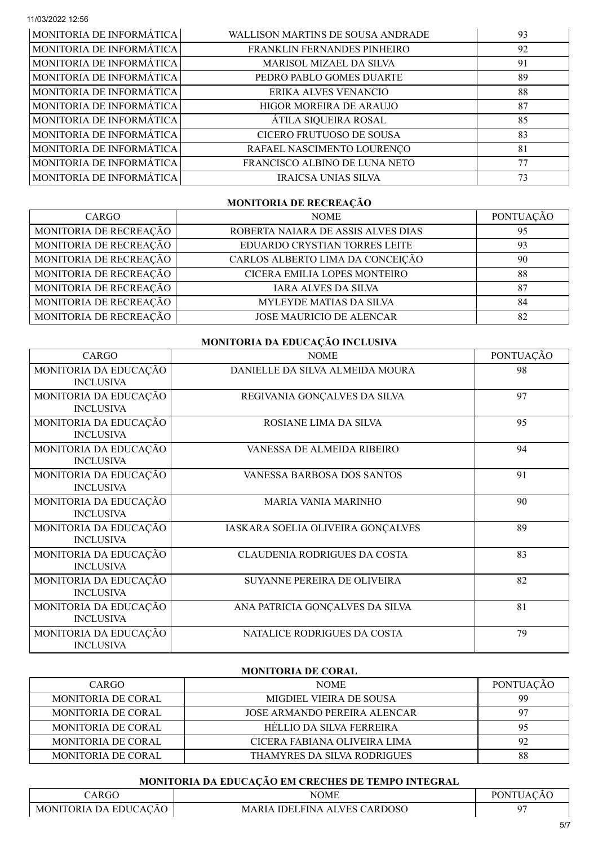| MONITORIA DE INFORMÁTICA | <b>WALLISON MARTINS DE SOUSA ANDRADE</b> | 93 |
|--------------------------|------------------------------------------|----|
| MONITORIA DE INFORMÁTICA | FRANKLIN FERNANDES PINHEIRO              | 92 |
| MONITORIA DE INFORMÁTICA | MARISOL MIZAEL DA SILVA                  | 91 |
| MONITORIA DE INFORMÁTICA | PEDRO PABLO GOMES DUARTE                 | 89 |
| MONITORIA DE INFORMÁTICA | ERIKA ALVES VENANCIO                     | 88 |
| MONITORIA DE INFORMÁTICA | HIGOR MOREIRA DE ARAUJO                  | 87 |
| MONITORIA DE INFORMÁTICA | ÁTILA SIQUEIRA ROSAL                     | 85 |
| MONITORIA DE INFORMÁTICA | CICERO FRUTUOSO DE SOUSA                 | 83 |
| MONITORIA DE INFORMÁTICA | RAFAEL NASCIMENTO LOURENÇO               | 81 |
| MONITORIA DE INFORMÁTICA | FRANCISCO ALBINO DE LUNA NETO            | 77 |
| MONITORIA DE INFORMÁTICA | IRAICSA UNIAS SILVA                      | 73 |

### MONITORIA DE RECREAÇÃO

| <b>CARGO</b>           | <b>NOME</b>                        | PONTUAÇÃO |
|------------------------|------------------------------------|-----------|
| MONITORIA DE RECREAÇÃO | ROBERTA NAIARA DE ASSIS ALVES DIAS | 95        |
| MONITORIA DE RECREAÇÃO | EDUARDO CRYSTIAN TORRES LEITE      | 93        |
| MONITORIA DE RECREAÇÃO | CARLOS ALBERTO LIMA DA CONCEIÇÃO   | 90        |
| MONITORIA DE RECREAÇÃO | CICERA EMILIA LOPES MONTEIRO       | 88        |
| MONITORIA DE RECREAÇÃO | <b>IARA ALVES DA SILVA</b>         | 87        |
| MONITORIA DE RECREAÇÃO | MYLEYDE MATIAS DA SILVA            | 84        |
| MONITORIA DE RECREAÇÃO | <b>JOSE MAURICIO DE ALENCAR</b>    | 82        |

## MONITORIA DA EDUCAÇÃO INCLUSIVA

| CARGO                                     | <b>NOME</b>                         | PONTUAÇÃO |
|-------------------------------------------|-------------------------------------|-----------|
| MONITORIA DA EDUCAÇÃO<br><b>INCLUSIVA</b> | DANIELLE DA SILVA ALMEIDA MOURA     | 98        |
| MONITORIA DA EDUCAÇÃO<br><b>INCLUSIVA</b> | REGIVANIA GONÇALVES DA SILVA        | 97        |
| MONITORIA DA EDUCAÇÃO<br><b>INCLUSIVA</b> | ROSIANE LIMA DA SILVA               | 95        |
| MONITORIA DA EDUCAÇÃO<br><b>INCLUSIVA</b> | VANESSA DE ALMEIDA RIBEIRO          | 94        |
| MONITORIA DA EDUCAÇÃO<br><b>INCLUSIVA</b> | VANESSA BARBOSA DOS SANTOS          | 91        |
| MONITORIA DA EDUCAÇÃO<br><b>INCLUSIVA</b> | <b>MARIA VANIA MARINHO</b>          | 90        |
| MONITORIA DA EDUCAÇÃO<br><b>INCLUSIVA</b> | IASKARA SOELIA OLIVEIRA GONÇALVES   | 89        |
| MONITORIA DA EDUCAÇÃO<br><b>INCLUSIVA</b> | <b>CLAUDENIA RODRIGUES DA COSTA</b> | 83        |
| MONITORIA DA EDUCAÇÃO<br><b>INCLUSIVA</b> | <b>SUYANNE PEREIRA DE OLIVEIRA</b>  | 82        |
| MONITORIA DA EDUCAÇÃO<br><b>INCLUSIVA</b> | ANA PATRICIA GONÇALVES DA SILVA     | 81        |
| MONITORIA DA EDUCAÇÃO<br><b>INCLUSIVA</b> | NATALICE RODRIGUES DA COSTA         | 79        |

### MONITORIA DE CORAL

| CARGO.                    | <b>NOME</b>                         | <b>PONTUAÇÃO</b> |
|---------------------------|-------------------------------------|------------------|
| <b>MONITORIA DE CORAL</b> | MIGDIEL VIEIRA DE SOUSA             | 99               |
| <b>MONITORIA DE CORAL</b> | <b>JOSE ARMANDO PEREIRA ALENCAR</b> | -97              |
| MONITORIA DE CORAL        | HELLIO DA SILVA FERREIRA            | 95               |
| <b>MONITORIA DE CORAL</b> | CICERA FABIANA OLIVEIRA LIMA        | 92               |
| MONITORIA DE CORAL        | THAMYRES DA SILVA RODRIGUES         | 88               |

## MONITORIA DA EDUCAÇÃO EM CRECHES DE TEMPO INTEGRAL

| 'ARGO                 | NOME                                | <b>PONTUACAO</b> |  |
|-----------------------|-------------------------------------|------------------|--|
| MONITORIA DA EDUCACÃO | <b>MARIA IDELFINA ALVES CARDOSO</b> |                  |  |
|                       |                                     |                  |  |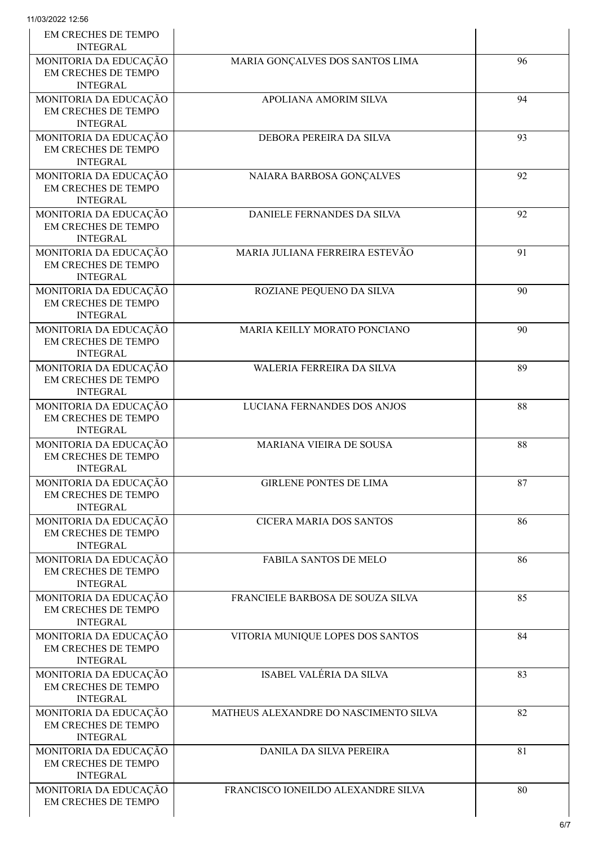| <b>EM CRECHES DE TEMPO</b><br><b>INTEGRAL</b>                          |                                       |    |
|------------------------------------------------------------------------|---------------------------------------|----|
| MONITORIA DA EDUCAÇÃO<br><b>EM CRECHES DE TEMPO</b><br><b>INTEGRAL</b> | MARIA GONÇALVES DOS SANTOS LIMA       | 96 |
| MONITORIA DA EDUCAÇÃO<br>EM CRECHES DE TEMPO<br><b>INTEGRAL</b>        | APOLIANA AMORIM SILVA                 | 94 |
| MONITORIA DA EDUCAÇÃO<br>EM CRECHES DE TEMPO<br><b>INTEGRAL</b>        | DEBORA PEREIRA DA SILVA               | 93 |
| MONITORIA DA EDUCAÇÃO<br><b>EM CRECHES DE TEMPO</b><br><b>INTEGRAL</b> | NAIARA BARBOSA GONÇALVES              | 92 |
| MONITORIA DA EDUCAÇÃO<br>EM CRECHES DE TEMPO<br><b>INTEGRAL</b>        | DANIELE FERNANDES DA SILVA            | 92 |
| MONITORIA DA EDUCAÇÃO<br><b>EM CRECHES DE TEMPO</b><br><b>INTEGRAL</b> | MARIA JULIANA FERREIRA ESTEVÃO        | 91 |
| MONITORIA DA EDUCAÇÃO<br>EM CRECHES DE TEMPO<br><b>INTEGRAL</b>        | ROZIANE PEQUENO DA SILVA              | 90 |
| MONITORIA DA EDUCAÇÃO<br>EM CRECHES DE TEMPO<br><b>INTEGRAL</b>        | MARIA KEILLY MORATO PONCIANO          | 90 |
| MONITORIA DA EDUCAÇÃO<br><b>EM CRECHES DE TEMPO</b><br><b>INTEGRAL</b> | WALERIA FERREIRA DA SILVA             | 89 |
| MONITORIA DA EDUCAÇÃO<br><b>EM CRECHES DE TEMPO</b><br><b>INTEGRAL</b> | LUCIANA FERNANDES DOS ANJOS           | 88 |
| MONITORIA DA EDUCAÇÃO<br>EM CRECHES DE TEMPO<br><b>INTEGRAL</b>        | MARIANA VIEIRA DE SOUSA               | 88 |
| MONITORIA DA EDUCAÇÃO<br>EM CRECHES DE TEMPO<br><b>INTEGRAL</b>        | <b>GIRLENE PONTES DE LIMA</b>         | 87 |
| MONITORIA DA EDUCAÇÃO<br>EM CRECHES DE TEMPO<br><b>INTEGRAL</b>        | <b>CICERA MARIA DOS SANTOS</b>        | 86 |
| MONITORIA DA EDUCAÇÃO<br><b>EM CRECHES DE TEMPO</b><br><b>INTEGRAL</b> | <b>FABILA SANTOS DE MELO</b>          | 86 |
| MONITORIA DA EDUCAÇÃO<br>EM CRECHES DE TEMPO<br><b>INTEGRAL</b>        | FRANCIELE BARBOSA DE SOUZA SILVA      | 85 |
| MONITORIA DA EDUCAÇÃO<br>EM CRECHES DE TEMPO<br><b>INTEGRAL</b>        | VITORIA MUNIQUE LOPES DOS SANTOS      | 84 |
| MONITORIA DA EDUCAÇÃO<br>EM CRECHES DE TEMPO<br><b>INTEGRAL</b>        | ISABEL VALÉRIA DA SILVA               | 83 |
| MONITORIA DA EDUCAÇÃO<br>EM CRECHES DE TEMPO<br><b>INTEGRAL</b>        | MATHEUS ALEXANDRE DO NASCIMENTO SILVA | 82 |
| MONITORIA DA EDUCAÇÃO<br>EM CRECHES DE TEMPO<br><b>INTEGRAL</b>        | DANILA DA SILVA PEREIRA               | 81 |
| MONITORIA DA EDUCAÇÃO<br>EM CRECHES DE TEMPO                           | FRANCISCO IONEILDO ALEXANDRE SILVA    | 80 |